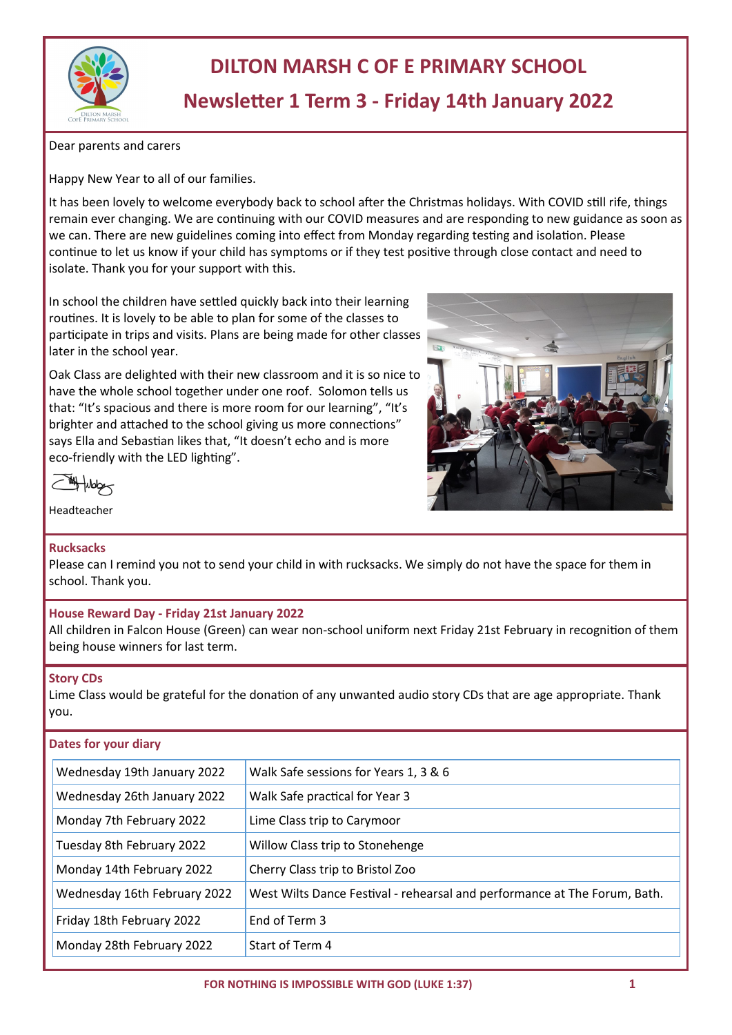

# **DILTON MARSH C OF E PRIMARY SCHOOL Newsletter 1 Term 3 - Friday 14th January 2022**

Dear parents and carers

Happy New Year to all of our families.

It has been lovely to welcome everybody back to school after the Christmas holidays. With COVID still rife, things remain ever changing. We are continuing with our COVID measures and are responding to new guidance as soon as we can. There are new guidelines coming into effect from Monday regarding testing and isolation. Please continue to let us know if your child has symptoms or if they test positive through close contact and need to isolate. Thank you for your support with this.

In school the children have settled quickly back into their learning routines. It is lovely to be able to plan for some of the classes to participate in trips and visits. Plans are being made for other classes later in the school year.

Oak Class are delighted with their new classroom and it is so nice to have the whole school together under one roof. Solomon tells us that: "It's spacious and there is more room for our learning", "It's brighter and attached to the school giving us more connections" says Ella and Sebastian likes that, "It doesn't echo and is more eco-friendly with the LED lighting".



**My Hubby** 

Headteacher

## **Rucksacks**

Please can I remind you not to send your child in with rucksacks. We simply do not have the space for them in school. Thank you.

## **House Reward Day - Friday 21st January 2022**

All children in Falcon House (Green) can wear non-school uniform next Friday 21st February in recognition of them being house winners for last term.

### **Story CDs**

Lime Class would be grateful for the donation of any unwanted audio story CDs that are age appropriate. Thank you.

## **Dates for your diary**

| Wednesday 19th January 2022  | Walk Safe sessions for Years 1, 3 & 6                                     |
|------------------------------|---------------------------------------------------------------------------|
| Wednesday 26th January 2022  | Walk Safe practical for Year 3                                            |
| Monday 7th February 2022     | Lime Class trip to Carymoor                                               |
| Tuesday 8th February 2022    | Willow Class trip to Stonehenge                                           |
| Monday 14th February 2022    | Cherry Class trip to Bristol Zoo                                          |
| Wednesday 16th February 2022 | West Wilts Dance Festival - rehearsal and performance at The Forum, Bath. |
| Friday 18th February 2022    | End of Term 3                                                             |
| Monday 28th February 2022    | Start of Term 4                                                           |